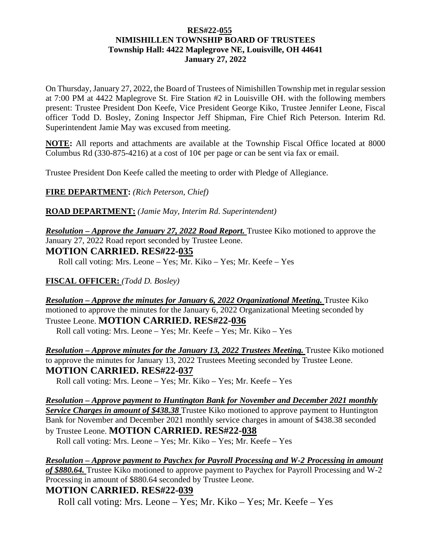#### **RES#22-055 NIMISHILLEN TOWNSHIP BOARD OF TRUSTEES Township Hall: 4422 Maplegrove NE, Louisville, OH 44641 January 27, 2022**

On Thursday, January 27, 2022, the Board of Trustees of Nimishillen Township met in regular session at 7:00 PM at 4422 Maplegrove St. Fire Station #2 in Louisville OH. with the following members present: Trustee President Don Keefe, Vice President George Kiko, Trustee Jennifer Leone, Fiscal officer Todd D. Bosley, Zoning Inspector Jeff Shipman, Fire Chief Rich Peterson. Interim Rd. Superintendent Jamie May was excused from meeting.

**NOTE:** All reports and attachments are available at the Township Fiscal Office located at 8000 Columbus Rd (330-875-4216) at a cost of  $10¢$  per page or can be sent via fax or email.

Trustee President Don Keefe called the meeting to order with Pledge of Allegiance.

**FIRE DEPARTMENT:** *(Rich Peterson, Chief)* 

**ROAD DEPARTMENT:** *(Jamie May, Interim Rd. Superintendent)*

*Resolution – Approve the January 27, 2022 Road Report.* Trustee Kiko motioned to approve the January 27, 2022 Road report seconded by Trustee Leone. **MOTION CARRIED. RES#22-035**

Roll call voting: Mrs. Leone – Yes; Mr. Kiko – Yes; Mr. Keefe – Yes

**FISCAL OFFICER:** *(Todd D. Bosley)* 

*Resolution – Approve the minutes for January 6, 2022 Organizational Meeting. Trustee Kiko* motioned to approve the minutes for the January 6, 2022 Organizational Meeting seconded by Trustee Leone. **MOTION CARRIED. RES#22-036**

Roll call voting: Mrs. Leone – Yes; Mr. Keefe – Yes; Mr. Kiko – Yes

**Resolution – Approve minutes for the January 13, 2022 Trustees Meeting.** Trustee Kiko motioned to approve the minutes for January 13, 2022 Trustees Meeting seconded by Trustee Leone. **MOTION CARRIED. RES#22-037**

Roll call voting: Mrs. Leone – Yes; Mr. Kiko – Yes; Mr. Keefe – Yes

*Resolution – Approve payment to Huntington Bank for November and December 2021 monthly Service Charges in amount of \$438.38* Trustee Kiko motioned to approve payment to Huntington Bank for November and December 2021 monthly service charges in amount of \$438.38 seconded by Trustee Leone. **MOTION CARRIED. RES#22-038** 

Roll call voting: Mrs. Leone – Yes; Mr. Kiko – Yes; Mr. Keefe – Yes

*Resolution – Approve payment to Paychex for Payroll Processing and W-2 Processing in amount of \$880.64.* Trustee Kiko motioned to approve payment to Paychex for Payroll Processing and W-2

Processing in amount of \$880.64 seconded by Trustee Leone.

# **MOTION CARRIED. RES#22-039**

Roll call voting: Mrs. Leone – Yes; Mr. Kiko – Yes; Mr. Keefe – Yes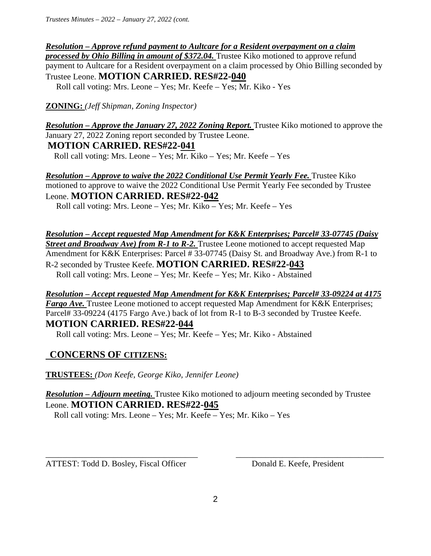### *Resolution – Approve refund payment to Aultcare for a Resident overpayment on a claim*

*processed by Ohio Billing in amount of \$372.04.* **Trustee Kiko motioned to approve refund** payment to Aultcare for a Resident overpayment on a claim processed by Ohio Billing seconded by Trustee Leone. **MOTION CARRIED. RES#22-040** 

Roll call voting: Mrs. Leone – Yes; Mr. Keefe – Yes; Mr. Kiko - Yes

### **ZONING:** *(Jeff Shipman, Zoning Inspector)*

*Resolution – Approve the January 27, 2022 Zoning Report.* Trustee Kiko motioned to approve the January 27, 2022 Zoning report seconded by Trustee Leone. **MOTION CARRIED. RES#22-041** 

Roll call voting: Mrs. Leone – Yes; Mr. Kiko – Yes; Mr. Keefe – Yes

*Resolution – Approve to waive the 2022 Conditional Use Permit Yearly Fee. Trustee Kiko* motioned to approve to waive the 2022 Conditional Use Permit Yearly Fee seconded by Trustee Leone. **MOTION CARRIED. RES#22-042** 

Roll call voting: Mrs. Leone – Yes; Mr. Kiko – Yes; Mr. Keefe – Yes

*Resolution – Accept requested Map Amendment for K&K Enterprises; Parcel# 33-07745 (Daisy Street and Broadway Ave) from R-1 to R-2.* Trustee Leone motioned to accept requested Map Amendment for K&K Enterprises: Parcel # 33-07745 (Daisy St. and Broadway Ave.) from R-1 to R-2 seconded by Trustee Keefe. **MOTION CARRIED. RES#22-043**  Roll call voting: Mrs. Leone – Yes; Mr. Keefe – Yes; Mr. Kiko - Abstained

*Resolution – Accept requested Map Amendment for K&K Enterprises; Parcel# 33-09224 at 4175 Fargo Ave.* Trustee Leone motioned to accept requested Map Amendment for K&K Enterprises; Parcel# 33-09224 (4175 Fargo Ave.) back of lot from R-1 to B-3 seconded by Trustee Keefe. **MOTION CARRIED. RES#22-044** 

Roll call voting: Mrs. Leone – Yes; Mr. Keefe – Yes; Mr. Kiko - Abstained

# **CONCERNS OF CITIZENS:**

**TRUSTEES:** *(Don Keefe, George Kiko, Jennifer Leone)* 

*Resolution – Adjourn meeting.* Trustee Kiko motioned to adjourn meeting seconded by Trustee Leone. **MOTION CARRIED. RES#22-045** 

Roll call voting: Mrs. Leone – Yes; Mr. Keefe – Yes; Mr. Kiko – Yes

ATTEST: Todd D. Bosley, Fiscal Officer Donald E. Keefe, President

\_\_\_\_\_\_\_\_\_\_\_\_\_\_\_\_\_\_\_\_\_\_\_\_\_\_\_\_\_\_\_\_\_\_\_\_ \_\_\_\_\_\_\_\_\_\_\_\_\_\_\_\_\_\_\_\_\_\_\_\_\_\_\_\_\_\_\_\_\_\_\_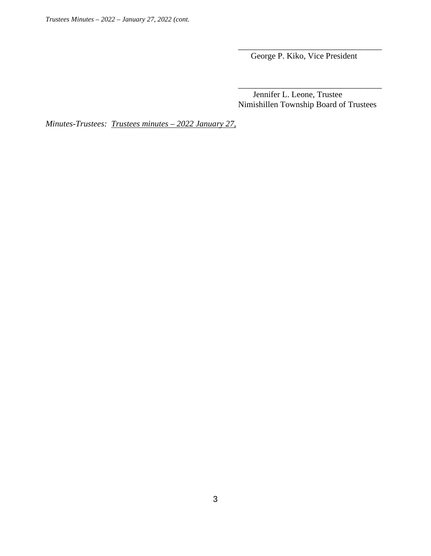George P. Kiko, Vice President

 Jennifer L. Leone, Trustee Nimishillen Township Board of Trustees

*Minutes-Trustees: Trustees minutes – 2022 January 27,* 

 $\overline{\phantom{a}}$  , which is a set of the contract of the contract of the contract of the contract of the contract of the contract of the contract of the contract of the contract of the contract of the contract of the contract

 $\overline{\phantom{a}}$  , and the contract of the contract of the contract of the contract of the contract of the contract of the contract of the contract of the contract of the contract of the contract of the contract of the contrac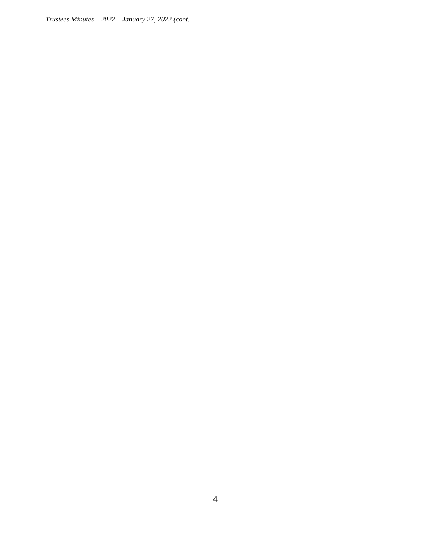*Trustees Minutes – 2022 – January 27, 2022 (cont.*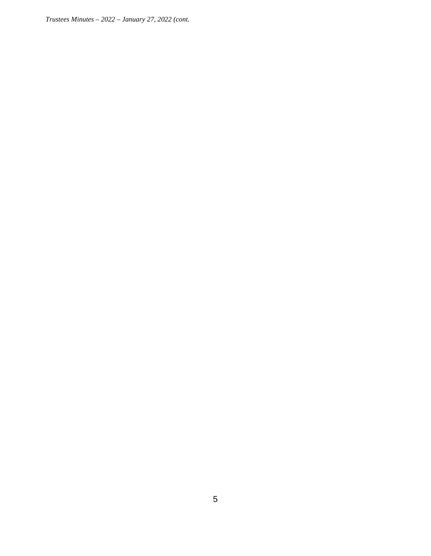*Trustees Minutes – 2022 – January 27, 2022 (cont.*